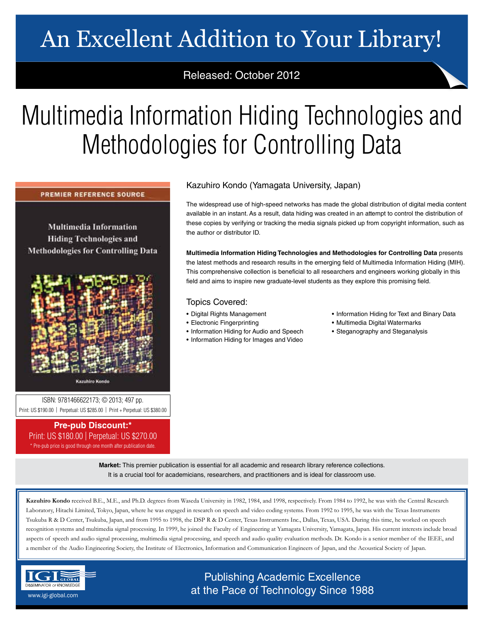# An Excellent Addition to Your Library!

## Released: October 2012

# Multimedia Information Hiding Technologies and Methodologies for Controlling Data

**PREMIER REFERENCE SOURCE** 

**Multimedia Information Hiding Technologies and Methodologies for Controlling Data** 



**Kazuhiro Kondo** 

ISBN: 9781466622173; © 2013; 497 pp. Print: US \$190.00 | Perpetual: US \$285.00 | Print + Perpetual: US \$380.00

## **Pre-pub Discount:\***

Print: US \$180.00 | Perpetual: US \$270.00 \* Pre-pub price is good through one month after publication date.

### Kazuhiro Kondo (Yamagata University, Japan)

The widespread use of high-speed networks has made the global distribution of digital media content available in an instant. As a result, data hiding was created in an attempt to control the distribution of these copies by verifying or tracking the media signals picked up from copyright information, such as the author or distributor ID.

**Multimedia Information Hiding Technologies and Methodologies for Controlling Data** presents the latest methods and research results in the emerging field of Multimedia Information Hiding (MIH). This comprehensive collection is beneficial to all researchers and engineers working globally in this field and aims to inspire new graduate-level students as they explore this promising field.

### Topics Covered:

• Digital Rights Management

• Information Hiding for Audio and Speech • Information Hiding for Images and Video

• Electronic Fingerprinting

- Information Hiding for Text and Binary Data
- Multimedia Digital Watermarks
	- Steganography and Steganalysis

**Market:** This premier publication is essential for all academic and research library reference collections. It is a crucial tool for academicians, researchers, and practitioners and is ideal for classroom use.

**Kazuhiro Kondo** received B.E., M.E., and Ph.D. degrees from Waseda University in 1982, 1984, and 1998, respectively. From 1984 to 1992, he was with the Central Research Laboratory, Hitachi Limited, Tokyo, Japan, where he was engaged in research on speech and video coding systems. From 1992 to 1995, he was with the Texas Instruments Tsukuba R & D Center, Tsukuba, Japan, and from 1995 to 1998, the DSP R & D Center, Texas Instruments Inc., Dallas, Texas, USA. During this time, he worked on speech recognition systems and multimedia signal processing. In 1999, he joined the Faculty of Engineering at Yamagata University, Yamagata, Japan. His current interests include broad aspects of speech and audio signal processing, multimedia signal processing, and speech and audio quality evaluation methods. Dr. Kondo is a senior member of the IEEE, and a member of the Audio Engineering Society, the Institute of Electronics, Information and Communication Engineers of Japan, and the Acoustical Society of Japan.



Publishing Academic Excellence **ALSEMINATOR OF KNOWLEDGE CONCEDUTE CONCEDUTE CONCEDUTE CONCEDUTE CONCEDUTE CONCEDUTE CONCEDUTE CONCEDUTE CONCE**